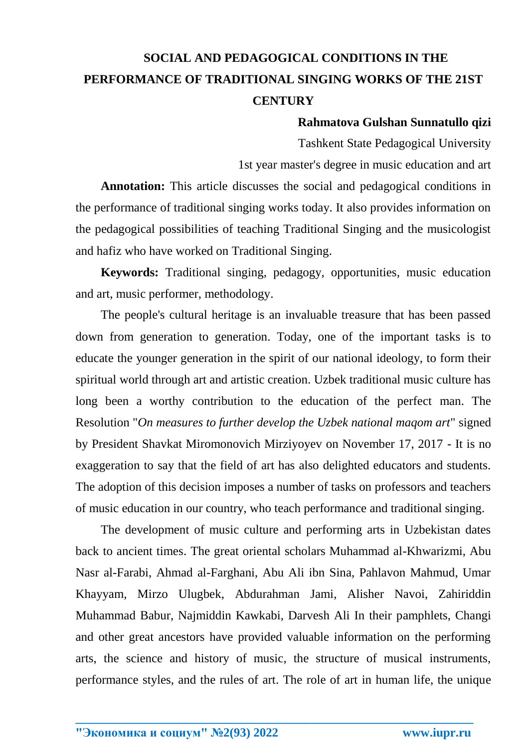# **SOCIAL AND PEDAGOGICAL CONDITIONS IN THE PERFORMANCE OF TRADITIONAL SINGING WORKS OF THE 21ST CENTURY**

#### **Rahmatova Gulshan Sunnatullo qizi**

Tashkent State Pedagogical University

1st year master's degree in music education and art

**Annotation:** This article discusses the social and pedagogical conditions in the performance of traditional singing works today. It also provides information on the pedagogical possibilities of teaching Traditional Singing and the musicologist and hafiz who have worked on Traditional Singing.

**Keywords:** Traditional singing, pedagogy, opportunities, music education and art, music performer, methodology.

The people's cultural heritage is an invaluable treasure that has been passed down from generation to generation. Today, one of the important tasks is to educate the younger generation in the spirit of our national ideology, to form their spiritual world through art and artistic creation. Uzbek traditional music culture has long been a worthy contribution to the education of the perfect man. The Resolution "*On measures to further develop the Uzbek national maqom art*" signed by President Shavkat Miromonovich Mirziyoyev on November 17, 2017 - It is no exaggeration to say that the field of art has also delighted educators and students. The adoption of this decision imposes a number of tasks on professors and teachers of music education in our country, who teach performance and traditional singing.

The development of music culture and performing arts in Uzbekistan dates back to ancient times. The great oriental scholars Muhammad al-Khwarizmi, Abu Nasr al-Farabi, Ahmad al-Farghani, Abu Ali ibn Sina, Pahlavon Mahmud, Umar Khayyam, Mirzo Ulugbek, Abdurahman Jami, Alisher Navoi, Zahiriddin Muhammad Babur, Najmiddin Kawkabi, Darvesh Ali In their pamphlets, Changi and other great ancestors have provided valuable information on the performing arts, the science and history of music, the structure of musical instruments, performance styles, and the rules of art. The role of art in human life, the unique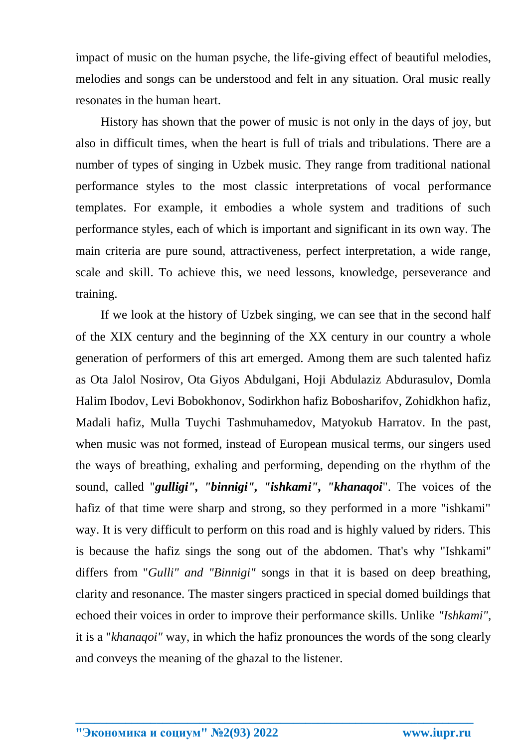impact of music on the human psyche, the life-giving effect of beautiful melodies, melodies and songs can be understood and felt in any situation. Oral music really resonates in the human heart.

History has shown that the power of music is not only in the days of joy, but also in difficult times, when the heart is full of trials and tribulations. There are a number of types of singing in Uzbek music. They range from traditional national performance styles to the most classic interpretations of vocal performance templates. For example, it embodies a whole system and traditions of such performance styles, each of which is important and significant in its own way. The main criteria are pure sound, attractiveness, perfect interpretation, a wide range, scale and skill. To achieve this, we need lessons, knowledge, perseverance and training.

If we look at the history of Uzbek singing, we can see that in the second half of the XIX century and the beginning of the XX century in our country a whole generation of performers of this art emerged. Among them are such talented hafiz as Ota Jalol Nosirov, Ota Giyos Abdulgani, Hoji Abdulaziz Abdurasulov, Domla Halim Ibodov, Levi Bobokhonov, Sodirkhon hafiz Bobosharifov, Zohidkhon hafiz, Madali hafiz, Mulla Tuychi Tashmuhamedov, Matyokub Harratov. In the past, when music was not formed, instead of European musical terms, our singers used the ways of breathing, exhaling and performing, depending on the rhythm of the sound, called "*gulligi", "binnigi", "ishkami", "khanaqoi*". The voices of the hafiz of that time were sharp and strong, so they performed in a more "ishkami" way. It is very difficult to perform on this road and is highly valued by riders. This is because the hafiz sings the song out of the abdomen. That's why "Ishkami" differs from "*Gulli" and "Binnigi"* songs in that it is based on deep breathing, clarity and resonance. The master singers practiced in special domed buildings that echoed their voices in order to improve their performance skills. Unlike *"Ishkami",* it is a "*khanaqoi"* way, in which the hafiz pronounces the words of the song clearly and conveys the meaning of the ghazal to the listener.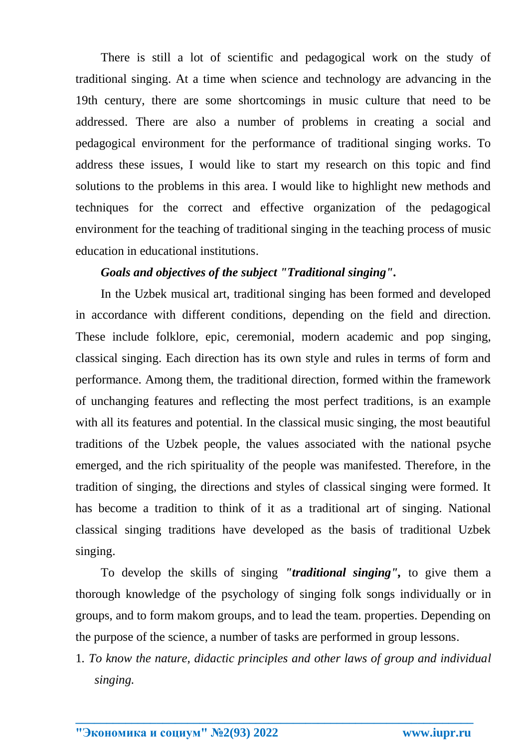There is still a lot of scientific and pedagogical work on the study of traditional singing. At a time when science and technology are advancing in the 19th century, there are some shortcomings in music culture that need to be addressed. There are also a number of problems in creating a social and pedagogical environment for the performance of traditional singing works. To address these issues, I would like to start my research on this topic and find solutions to the problems in this area. I would like to highlight new methods and techniques for the correct and effective organization of the pedagogical environment for the teaching of traditional singing in the teaching process of music education in educational institutions.

### *Goals and objectives of the subject "Traditional singing".*

In the Uzbek musical art, traditional singing has been formed and developed in accordance with different conditions, depending on the field and direction. These include folklore, epic, ceremonial, modern academic and pop singing, classical singing. Each direction has its own style and rules in terms of form and performance. Among them, the traditional direction, formed within the framework of unchanging features and reflecting the most perfect traditions, is an example with all its features and potential. In the classical music singing, the most beautiful traditions of the Uzbek people, the values associated with the national psyche emerged, and the rich spirituality of the people was manifested. Therefore, in the tradition of singing, the directions and styles of classical singing were formed. It has become a tradition to think of it as a traditional art of singing. National classical singing traditions have developed as the basis of traditional Uzbek singing.

To develop the skills of singing *"traditional singing",* to give them a thorough knowledge of the psychology of singing folk songs individually or in groups, and to form makom groups, and to lead the team. properties. Depending on the purpose of the science, a number of tasks are performed in group lessons.

1*. To know the nature, didactic principles and other laws of group and individual singing.*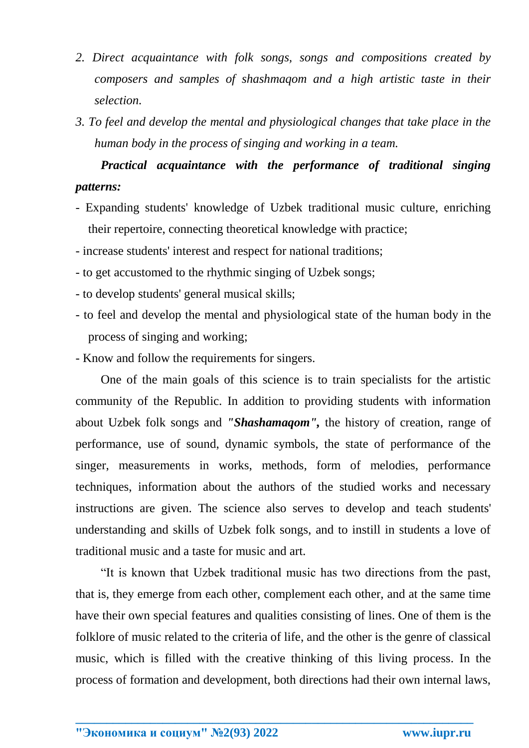- *2. Direct acquaintance with folk songs, songs and compositions created by composers and samples of shashmaqom and a high artistic taste in their selection.*
- *3. To feel and develop the mental and physiological changes that take place in the human body in the process of singing and working in a team.*

## *Practical acquaintance with the performance of traditional singing patterns:*

- Expanding students' knowledge of Uzbek traditional music culture, enriching their repertoire, connecting theoretical knowledge with practice;
- increase students' interest and respect for national traditions;
- to get accustomed to the rhythmic singing of Uzbek songs;
- to develop students' general musical skills;
- to feel and develop the mental and physiological state of the human body in the process of singing and working;
- Know and follow the requirements for singers.

One of the main goals of this science is to train specialists for the artistic community of the Republic. In addition to providing students with information about Uzbek folk songs and *"Shashamaqom",* the history of creation, range of performance, use of sound, dynamic symbols, the state of performance of the singer, measurements in works, methods, form of melodies, performance techniques, information about the authors of the studied works and necessary instructions are given. The science also serves to develop and teach students' understanding and skills of Uzbek folk songs, and to instill in students a love of traditional music and a taste for music and art.

"It is known that Uzbek traditional music has two directions from the past, that is, they emerge from each other, complement each other, and at the same time have their own special features and qualities consisting of lines. One of them is the folklore of music related to the criteria of life, and the other is the genre of classical music, which is filled with the creative thinking of this living process. In the process of formation and development, both directions had their own internal laws,